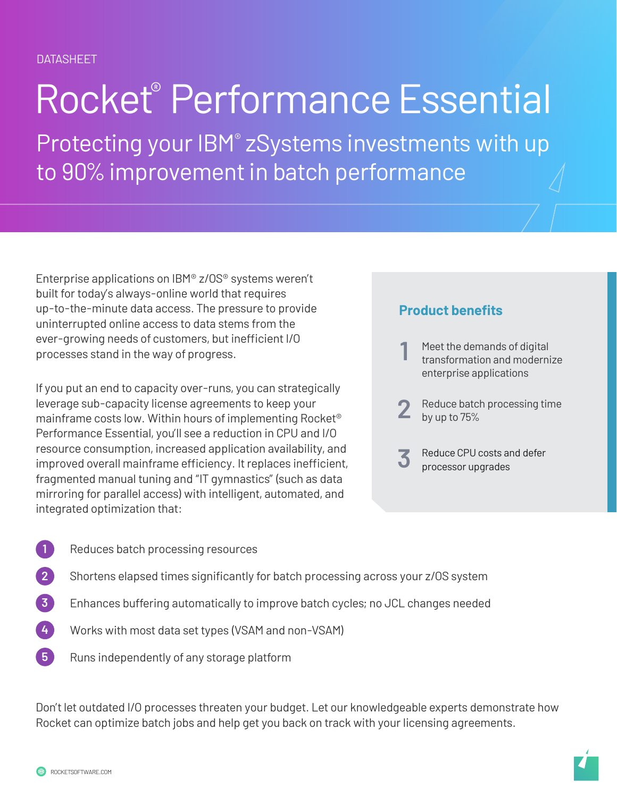# Rocket® Performance Essential

Protecting your IBM® zSystems investments with up to 90% improvement in batch performance

Enterprise applications on IBM® z/OS® systems weren't built for today's always-online world that requires up-to-the-minute data access. The pressure to provide uninterrupted online access to data stems from the ever-growing needs of customers, but inefficient I/O processes stand in the way of progress.

If you put an end to capacity over-runs, you can strategically leverage sub-capacity license agreements to keep your mainframe costs low. Within hours of implementing Rocket® Performance Essential, you'll see a reduction in CPU and I/O resource consumption, increased application availability, and improved overall mainframe efficiency. It replaces inefficient, fragmented manual tuning and "IT gymnastics" (such as data mirroring for parallel access) with intelligent, automated, and integrated optimization that:

#### **Product benefits**

- 1 Meet the demands of digital<br>transformation and modernize enterprise applications
- **2** Reduce batch processing time by up to 75%
- **3** Reduce CPU costs and defer processor upgrades

- Reduces batch processing resources **1**
- Shortens elapsed times significantly for batch processing across your z/OS system **2**
- Enhances buffering automatically to improve batch cycles; no JCL changes needed **3**
- Works with most data set types (VSAM and non-VSAM) **4**
- Runs independently of any storage platform **5**

Don't let outdated I/O processes threaten your budget. Let our knowledgeable experts demonstrate how Rocket can optimize batch jobs and help get you back on track with your licensing agreements.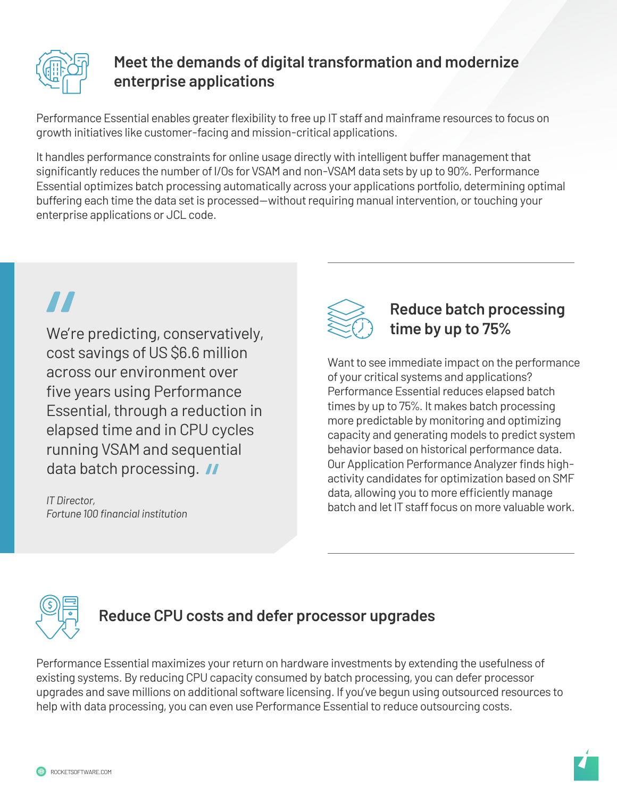

#### **Meet the demands of digital transformation and modernize enterprise applications**

Performance Essential enables greater flexibility to free up IT staff and mainframe resources to focus on growth initiatives like customer-facing and mission-critical applications.

It handles performance constraints for online usage directly with intelligent buffer management that significantly reduces the number of I/Os for VSAM and non-VSAM data sets by up to 90%. Performance Essential optimizes batch processing automatically across your applications portfolio, determining optimal buffering each time the data set is processed—without requiring manual intervention, or touching your enterprise applications or JCL code.

We're predicting, conservatively, cost savings of US \$6.6 million across our environment over five years using Performance Essential, through a reduction in elapsed time and in CPU cycles running VSAM and sequential data batch processing. II

*IT Director, Fortune 100 financial institution*



#### **Reduce batch processing time by up to 75%**

Want to see immediate impact on the performance of your critical systems and applications? Performance Essential reduces elapsed batch times by up to 75%. It makes batch processing more predictable by monitoring and optimizing capacity and generating models to predict system behavior based on historical performance data. Our Application Performance Analyzer finds highactivity candidates for optimization based on SMF data, allowing you to more efficiently manage batch and let IT staff focus on more valuable work.



#### **Reduce CPU costs and defer processor upgrades**

Performance Essential maximizes your return on hardware investments by extending the usefulness of existing systems. By reducing CPU capacity consumed by batch processing, you can defer processor upgrades and save millions on additional software licensing. If you've begun using outsourced resources to help with data processing, you can even use Performance Essential to reduce outsourcing costs.

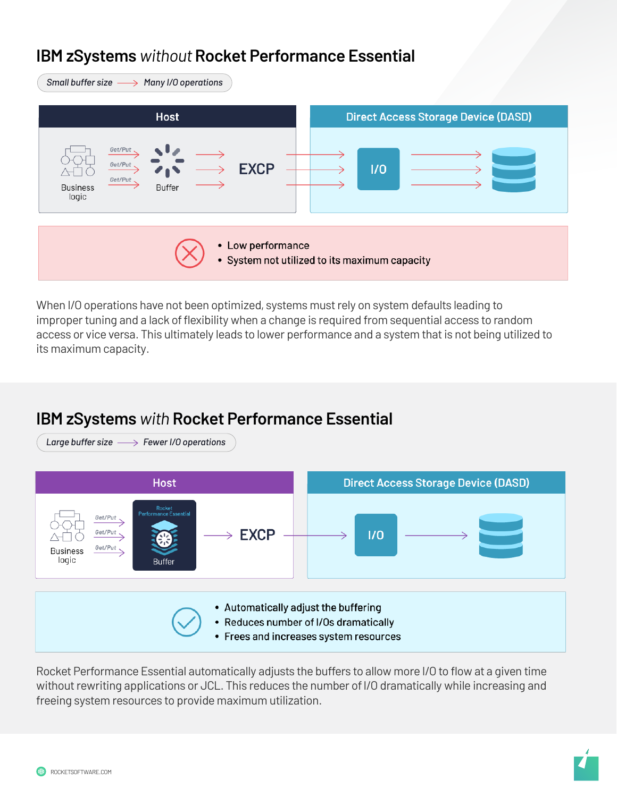### **IBM zSystems** *without* **Rocket Performance Essential IBM Z®** *without* **Rocket Performance Essential**

| Small buffer size $\longrightarrow$ Many I/O operations                                   |                                            |
|-------------------------------------------------------------------------------------------|--------------------------------------------|
| <b>Host</b>                                                                               | <b>Direct Access Storage Device (DASD)</b> |
| Get/Put<br>Get/Put<br><b>EXCP</b><br>Get/Put<br><b>Buffer</b><br><b>Business</b><br>logic | 1/0                                        |
| • Low performance<br>• System not utilized to its maximum capacity                        |                                            |

When I/O operations have not been optimized, systems must rely on system defaults leading to improper tuning and a lack of flexibility when a change is required from sequential access to random access or vice versa. This ultimately leads to lower performance and a system that is not being utilized to its maximum capacity.

#### **IBM zSystems** with Rocket Performance Essential



Rocket Performance Essential automatically adjusts the buffers to allow more I/O to flow at a given time without rewriting applications or JCL. This reduces the number of I/O dramatically while increasing and freeing system resources to provide maximum utilization.